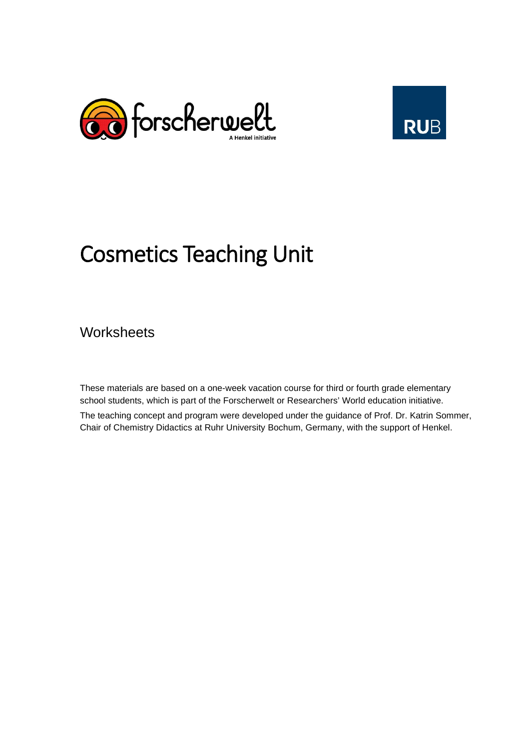



# Cosmetics Teaching Unit

**Worksheets** 

These materials are based on a one-week vacation course for third or fourth grade elementary school students, which is part of the Forscherwelt or Researchers' World education initiative. The teaching concept and program were developed under the guidance of Prof. Dr. Katrin Sommer, Chair of Chemistry Didactics at Ruhr University Bochum, Germany, with the support of Henkel.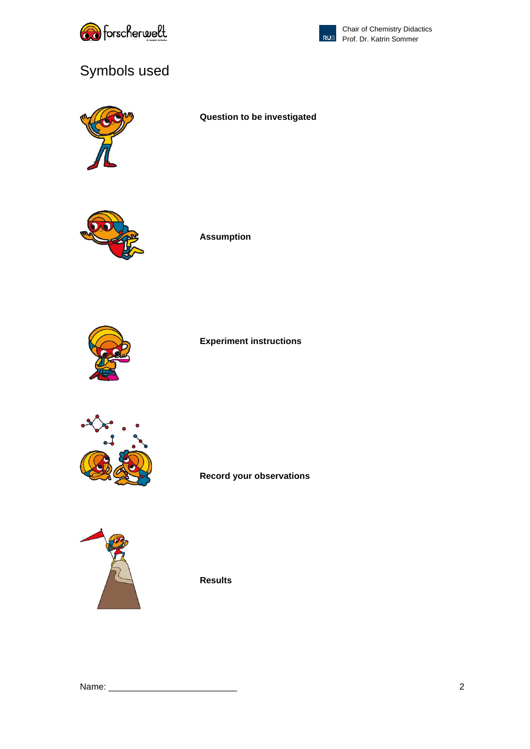



# Symbols used



**Question to be investigated**



**Assumption**



#### **Experiment instructions**



**Record your observations** 



**Results**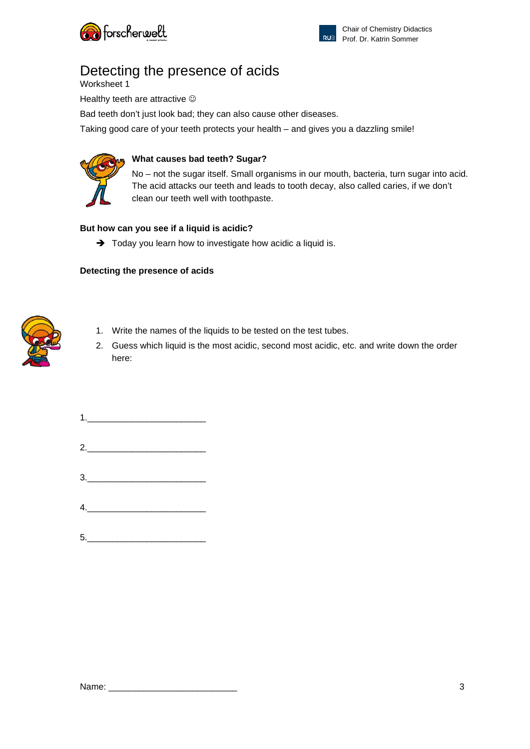



# Detecting the presence of acids

Worksheet 1

Healthy teeth are attractive  $\odot$ 

Bad teeth don't just look bad; they can also cause other diseases.

Taking good care of your teeth protects your health – and gives you a dazzling smile!



#### **What causes bad teeth? Sugar?**

No – not the sugar itself. Small organisms in our mouth, bacteria, turn sugar into acid. The acid attacks our teeth and leads to tooth decay, also called caries, if we don't clean our teeth well with toothpaste.

### **But how can you see if a liquid is acidic?**

 $\rightarrow$  Today you learn how to investigate how acidic a liquid is.

#### **Detecting the presence of acids**



- 1. Write the names of the liquids to be tested on the test tubes.
- 2. Guess which liquid is the most acidic, second most acidic, etc. and write down the order here:

 $1.$ 2.\_\_\_\_\_\_\_\_\_\_\_\_\_\_\_\_\_\_\_\_\_\_\_\_ 3.\_\_\_\_\_\_\_\_\_\_\_\_\_\_\_\_\_\_\_\_\_\_\_\_ 4.\_\_\_\_\_\_\_\_\_\_\_\_\_\_\_\_\_\_\_\_\_\_\_\_  $\begin{array}{c} \hline \texttt{5}.\quad \texttt{2} & \texttt{3} & \texttt{4} & \texttt{5} \\ \hline \end{array}$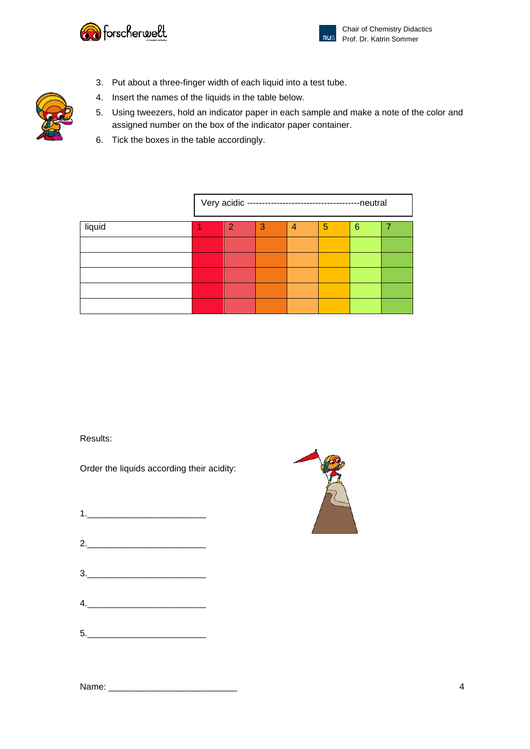



- 3. Put about a three-finger width of each liquid into a test tube.
- 4. Insert the names of the liquids in the table below.
- 5. Using tweezers, hold an indicator paper in each sample and make a note of the color and assigned number on the box of the indicator paper container.
- 6. Tick the boxes in the table accordingly.

|        |   | Very acidic --------------------------------- |   |   | -neutral |  |
|--------|---|-----------------------------------------------|---|---|----------|--|
| liquid | 2 | З                                             | 4 | 5 | 6        |  |
|        |   |                                               |   |   |          |  |
|        |   |                                               |   |   |          |  |
|        |   |                                               |   |   |          |  |
|        |   |                                               |   |   |          |  |
|        |   |                                               |   |   |          |  |

Results:

Order the liquids according their acidity:

| $\begin{array}{c} \n 1. & \quad \text{if} \quad \text{if} \quad \text{if} \quad \text{if} \quad \text{if} \quad \text{if} \quad \text{if} \quad \text{if} \quad \text{if} \quad \text{if} \quad \text{if} \quad \text{if} \quad \text{if} \quad \text{if} \quad \text{if} \quad \text{if} \quad \text{if} \quad \text{if} \quad \text{if} \quad \text{if} \quad \text{if} \quad \text{if} \quad \text{if} \quad \text{if} \quad \text{if} \quad \text{if} \quad \text{if} \quad \text{if} \quad \text{if} \quad \text$ |  |  |
|------------------------------------------------------------------------------------------------------------------------------------------------------------------------------------------------------------------------------------------------------------------------------------------------------------------------------------------------------------------------------------------------------------------------------------------------------------------------------------------------------------------------|--|--|
|                                                                                                                                                                                                                                                                                                                                                                                                                                                                                                                        |  |  |
| 2.                                                                                                                                                                                                                                                                                                                                                                                                                                                                                                                     |  |  |
|                                                                                                                                                                                                                                                                                                                                                                                                                                                                                                                        |  |  |
| $\begin{array}{c}\n3.\n\end{array}$                                                                                                                                                                                                                                                                                                                                                                                                                                                                                    |  |  |
|                                                                                                                                                                                                                                                                                                                                                                                                                                                                                                                        |  |  |
| 4.                                                                                                                                                                                                                                                                                                                                                                                                                                                                                                                     |  |  |
|                                                                                                                                                                                                                                                                                                                                                                                                                                                                                                                        |  |  |
| $\begin{array}{c c c c c} \hline \rule{0pt}{2ex}5. & \rule{0pt}{2ex} \multicolumn{3}{2}{\textbf{\textcolor{blue}{\bf{5}}}}. \end{array}$                                                                                                                                                                                                                                                                                                                                                                               |  |  |
|                                                                                                                                                                                                                                                                                                                                                                                                                                                                                                                        |  |  |



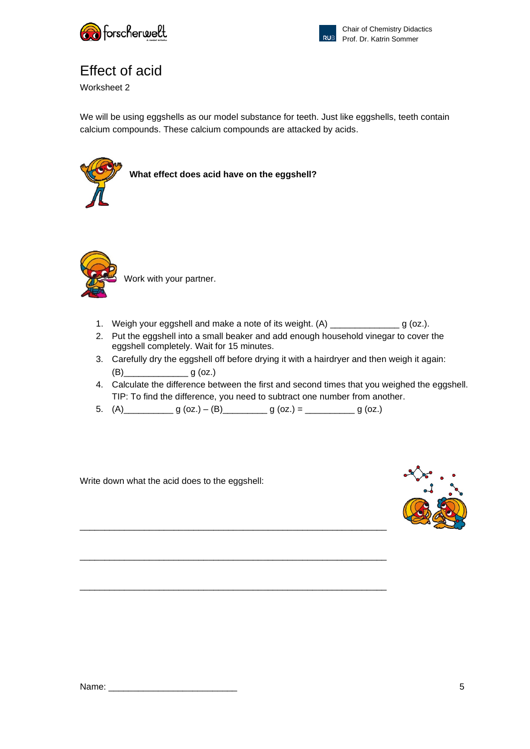



# Effect of acid

Worksheet 2

We will be using eggshells as our model substance for teeth. Just like eggshells, teeth contain calcium compounds. These calcium compounds are attacked by acids.



**What effect does acid have on the eggshell?**



Work with your partner.

- 1. Weigh your eggshell and make a note of its weight. (A) \_\_\_\_\_\_\_\_\_\_\_\_\_\_\_\_ g (oz.).
- 2. Put the eggshell into a small beaker and add enough household vinegar to cover the eggshell completely. Wait for 15 minutes.
- 3. Carefully dry the eggshell off before drying it with a hairdryer and then weigh it again: (B)\_\_\_\_\_\_\_\_\_\_\_\_\_ g (oz.)
- 4. Calculate the difference between the first and second times that you weighed the eggshell. TIP: To find the difference, you need to subtract one number from another.
- 5.  $(A)$  g (oz.)  $(B)$  g (oz.) = \_\_\_\_\_\_\_\_\_ g (oz.)

\_\_\_\_\_\_\_\_\_\_\_\_\_\_\_\_\_\_\_\_\_\_\_\_\_\_\_\_\_\_\_\_\_\_\_\_\_\_\_\_\_\_\_\_\_\_\_\_\_\_\_\_\_\_\_\_\_\_\_\_\_\_

\_\_\_\_\_\_\_\_\_\_\_\_\_\_\_\_\_\_\_\_\_\_\_\_\_\_\_\_\_\_\_\_\_\_\_\_\_\_\_\_\_\_\_\_\_\_\_\_\_\_\_\_\_\_\_\_\_\_\_\_\_\_

\_\_\_\_\_\_\_\_\_\_\_\_\_\_\_\_\_\_\_\_\_\_\_\_\_\_\_\_\_\_\_\_\_\_\_\_\_\_\_\_\_\_\_\_\_\_\_\_\_\_\_\_\_\_\_\_\_\_\_\_\_\_

Write down what the acid does to the eggshell:



Name: \_\_\_\_\_\_\_\_\_\_\_\_\_\_\_\_\_\_\_\_\_\_\_\_\_\_ 5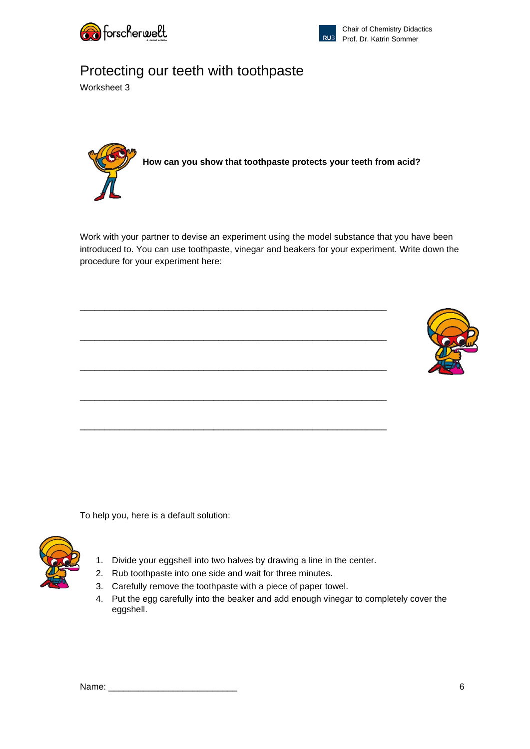



# Protecting our teeth with toothpaste

Worksheet 3



Work with your partner to devise an experiment using the model substance that you have been introduced to. You can use toothpaste, vinegar and beakers for your experiment. Write down the procedure for your experiment here:



To help you, here is a default solution:



- 1. Divide your eggshell into two halves by drawing a line in the center.
- 2. Rub toothpaste into one side and wait for three minutes.
- 3. Carefully remove the toothpaste with a piece of paper towel.
- 4. Put the egg carefully into the beaker and add enough vinegar to completely cover the eggshell.

| Name:<br>______ |  |
|-----------------|--|
|                 |  |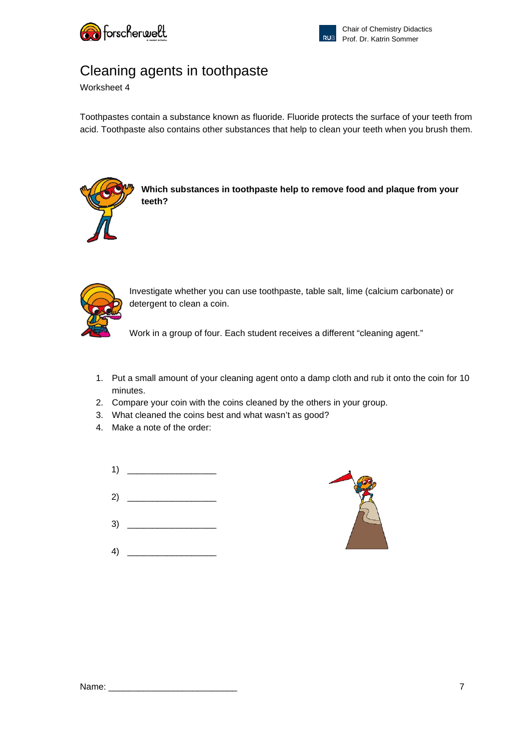



### Cleaning agents in toothpaste

Worksheet 4

Toothpastes contain a substance known as fluoride. Fluoride protects the surface of your teeth from acid. Toothpaste also contains other substances that help to clean your teeth when you brush them.



**Which substances in toothpaste help to remove food and plaque from your teeth?**



Investigate whether you can use toothpaste, table salt, lime (calcium carbonate) or detergent to clean a coin.

Work in a group of four. Each student receives a different "cleaning agent."

- 1. Put a small amount of your cleaning agent onto a damp cloth and rub it onto the coin for 10 minutes.
- 2. Compare your coin with the coins cleaned by the others in your group.
- 3. What cleaned the coins best and what wasn't as good?
- 4. Make a note of the order:
	- 1) \_\_\_\_\_\_\_\_\_\_\_\_\_\_\_\_\_\_
	- 2) \_\_\_\_\_\_\_\_\_\_\_\_\_\_\_\_\_\_
	- $3)$
	- 4) \_\_\_\_\_\_\_\_\_\_\_\_\_\_\_\_\_\_

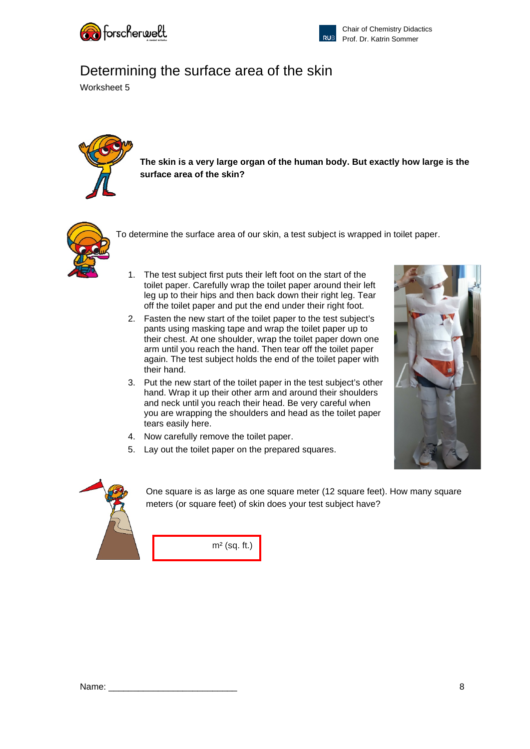



### Determining the surface area of the skin

Worksheet 5



**The skin is a very large organ of the human body. But exactly how large is the surface area of the skin?**



To determine the surface area of our skin, a test subject is wrapped in toilet paper.

- 1. The test subject first puts their left foot on the start of the toilet paper. Carefully wrap the toilet paper around their left leg up to their hips and then back down their right leg. Tear off the toilet paper and put the end under their right foot.
- 2. Fasten the new start of the toilet paper to the test subject's pants using masking tape and wrap the toilet paper up to their chest. At one shoulder, wrap the toilet paper down one arm until you reach the hand. Then tear off the toilet paper again. The test subject holds the end of the toilet paper with their hand.
- 3. Put the new start of the toilet paper in the test subject's other hand. Wrap it up their other arm and around their shoulders and neck until you reach their head. Be very careful when you are wrapping the shoulders and head as the toilet paper tears easily here.
- 4. Now carefully remove the toilet paper.
- 5. Lay out the toilet paper on the prepared squares.





One square is as large as one square meter (12 square feet). How many square meters (or square feet) of skin does your test subject have?

m² (sq. ft.)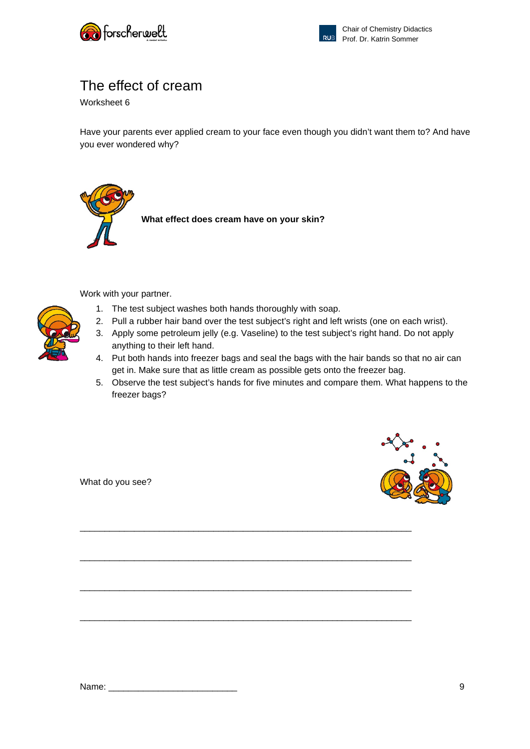



### The effect of cream

Worksheet 6

Have your parents ever applied cream to your face even though you didn't want them to? And have you ever wondered why?



Work with your partner.

- 1. The test subject washes both hands thoroughly with soap.
- 2. Pull a rubber hair band over the test subject's right and left wrists (one on each wrist).
- 3. Apply some petroleum jelly (e.g. Vaseline) to the test subject's right hand. Do not apply anything to their left hand.
- 4. Put both hands into freezer bags and seal the bags with the hair bands so that no air can get in. Make sure that as little cream as possible gets onto the freezer bag.
- 5. Observe the test subject's hands for five minutes and compare them. What happens to the freezer bags?

\_\_\_\_\_\_\_\_\_\_\_\_\_\_\_\_\_\_\_\_\_\_\_\_\_\_\_\_\_\_\_\_\_\_\_\_\_\_\_\_\_\_\_\_\_\_\_\_\_\_\_\_\_\_\_\_\_\_\_\_\_\_\_\_\_\_\_

\_\_\_\_\_\_\_\_\_\_\_\_\_\_\_\_\_\_\_\_\_\_\_\_\_\_\_\_\_\_\_\_\_\_\_\_\_\_\_\_\_\_\_\_\_\_\_\_\_\_\_\_\_\_\_\_\_\_\_\_\_\_\_\_\_\_\_

\_\_\_\_\_\_\_\_\_\_\_\_\_\_\_\_\_\_\_\_\_\_\_\_\_\_\_\_\_\_\_\_\_\_\_\_\_\_\_\_\_\_\_\_\_\_\_\_\_\_\_\_\_\_\_\_\_\_\_\_\_\_\_\_\_\_\_

\_\_\_\_\_\_\_\_\_\_\_\_\_\_\_\_\_\_\_\_\_\_\_\_\_\_\_\_\_\_\_\_\_\_\_\_\_\_\_\_\_\_\_\_\_\_\_\_\_\_\_\_\_\_\_\_\_\_\_\_\_\_\_\_\_\_\_

What do you see?

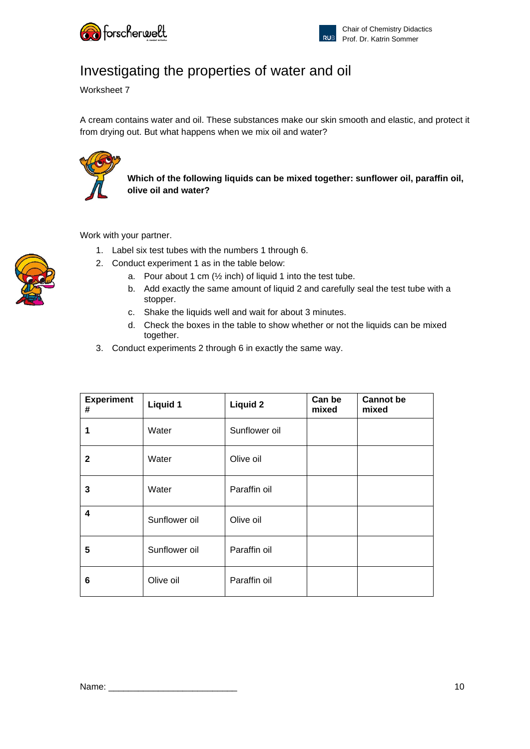

# Investigating the properties of water and oil

Worksheet 7

A cream contains water and oil. These substances make our skin smooth and elastic, and protect it from drying out. But what happens when we mix oil and water?



**Which of the following liquids can be mixed together: sunflower oil, paraffin oil, olive oil and water?**

Work with your partner.

- 1. Label six test tubes with the numbers 1 through 6.
- 2. Conduct experiment 1 as in the table below:
	- a. Pour about 1 cm  $(½$  inch) of liquid 1 into the test tube.
	- b. Add exactly the same amount of liquid 2 and carefully seal the test tube with a stopper.
	- c. Shake the liquids well and wait for about 3 minutes.
	- d. Check the boxes in the table to show whether or not the liquids can be mixed together.
- 3. Conduct experiments 2 through 6 in exactly the same way.

| <b>Experiment</b><br># | <b>Liquid 1</b> | <b>Liquid 2</b> | Can be<br>mixed | <b>Cannot</b> be<br>mixed |
|------------------------|-----------------|-----------------|-----------------|---------------------------|
| 1                      | Water           | Sunflower oil   |                 |                           |
| $\mathbf{2}$           | Water           | Olive oil       |                 |                           |
| 3                      | Water           | Paraffin oil    |                 |                           |
| 4                      | Sunflower oil   | Olive oil       |                 |                           |
| 5                      | Sunflower oil   | Paraffin oil    |                 |                           |
| 6                      | Olive oil       | Paraffin oil    |                 |                           |



Name: \_\_\_\_\_\_\_\_\_\_\_\_\_\_\_\_\_\_\_\_\_\_\_\_\_\_ 10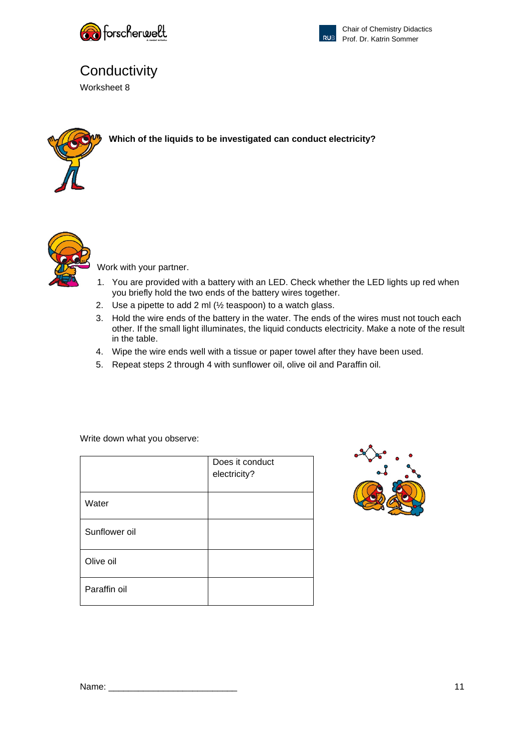



# **Conductivity**

Worksheet 8



**Which of the liquids to be investigated can conduct electricity?**



Work with your partner.

- 1. You are provided with a battery with an LED. Check whether the LED lights up red when you briefly hold the two ends of the battery wires together.
- 2. Use a pipette to add 2 ml (½ teaspoon) to a watch glass.
- 3. Hold the wire ends of the battery in the water. The ends of the wires must not touch each other. If the small light illuminates, the liquid conducts electricity. Make a note of the result in the table.
- 4. Wipe the wire ends well with a tissue or paper towel after they have been used.
- 5. Repeat steps 2 through 4 with sunflower oil, olive oil and Paraffin oil.

Write down what you observe:

|               | Does it conduct<br>electricity? |
|---------------|---------------------------------|
| Water         |                                 |
| Sunflower oil |                                 |
| Olive oil     |                                 |
| Paraffin oil  |                                 |

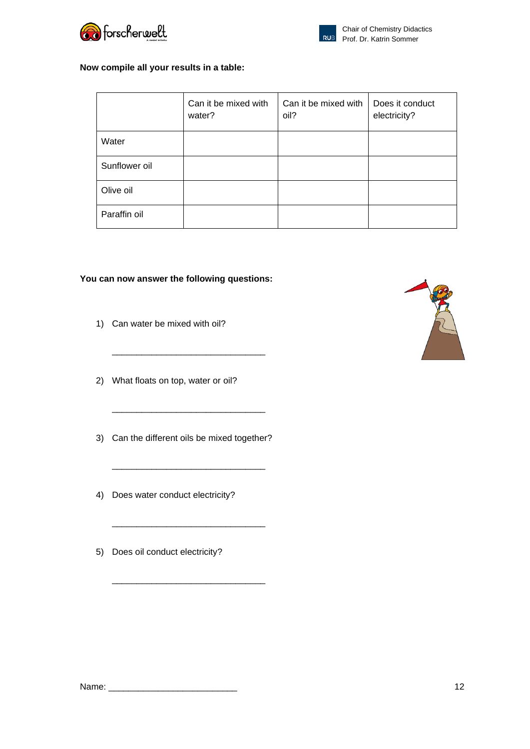



#### **Now compile all your results in a table:**

|               | Can it be mixed with<br>water? | Can it be mixed with<br>oil? | Does it conduct<br>electricity? |
|---------------|--------------------------------|------------------------------|---------------------------------|
| Water         |                                |                              |                                 |
| Sunflower oil |                                |                              |                                 |
| Olive oil     |                                |                              |                                 |
| Paraffin oil  |                                |                              |                                 |

#### **You can now answer the following questions:**

- 1) Can water be mixed with oil?
- 2) What floats on top, water or oil?
- 3) Can the different oils be mixed together?

\_\_\_\_\_\_\_\_\_\_\_\_\_\_\_\_\_\_\_\_\_\_\_\_\_\_\_\_\_\_\_

\_\_\_\_\_\_\_\_\_\_\_\_\_\_\_\_\_\_\_\_\_\_\_\_\_\_\_\_\_\_\_

\_\_\_\_\_\_\_\_\_\_\_\_\_\_\_\_\_\_\_\_\_\_\_\_\_\_\_\_\_\_\_

\_\_\_\_\_\_\_\_\_\_\_\_\_\_\_\_\_\_\_\_\_\_\_\_\_\_\_\_\_\_\_

\_\_\_\_\_\_\_\_\_\_\_\_\_\_\_\_\_\_\_\_\_\_\_\_\_\_\_\_\_\_\_

- 4) Does water conduct electricity?
- 5) Does oil conduct electricity?

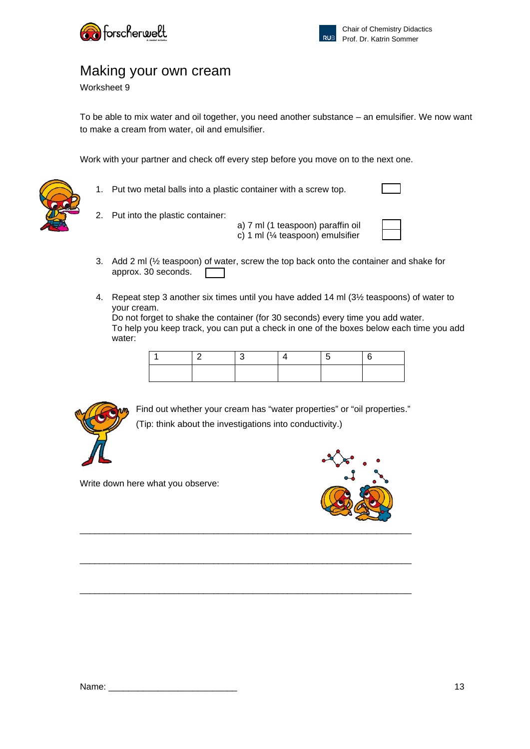



### Making your own cream

Worksheet 9

To be able to mix water and oil together, you need another substance – an emulsifier. We now want to make a cream from water, oil and emulsifier.

Work with your partner and check off every step before you move on to the next one.



1. Put two metal balls into a plastic container with a screw top.

- 2. Put into the plastic container: a) 7 ml (1 teaspoon) paraffin oil
	- c) 1 ml (¼ teaspoon) emulsifier
- 3. Add 2 ml (½ teaspoon) of water, screw the top back onto the container and shake for approx. 30 seconds.  $\Box$
- 4. Repeat step 3 another six times until you have added 14 ml (3½ teaspoons) of water to your cream.

Do not forget to shake the container (for 30 seconds) every time you add water. To help you keep track, you can put a check in one of the boxes below each time you add water:



Find out whether your cream has "water properties" or "oil properties." (Tip: think about the investigations into conductivity.)

\_\_\_\_\_\_\_\_\_\_\_\_\_\_\_\_\_\_\_\_\_\_\_\_\_\_\_\_\_\_\_\_\_\_\_\_\_\_\_\_\_\_\_\_\_\_\_\_\_\_\_\_\_\_\_\_\_\_\_\_\_\_\_\_\_\_\_

\_\_\_\_\_\_\_\_\_\_\_\_\_\_\_\_\_\_\_\_\_\_\_\_\_\_\_\_\_\_\_\_\_\_\_\_\_\_\_\_\_\_\_\_\_\_\_\_\_\_\_\_\_\_\_\_\_\_\_\_\_\_\_\_\_\_\_

Write down here what you observe:

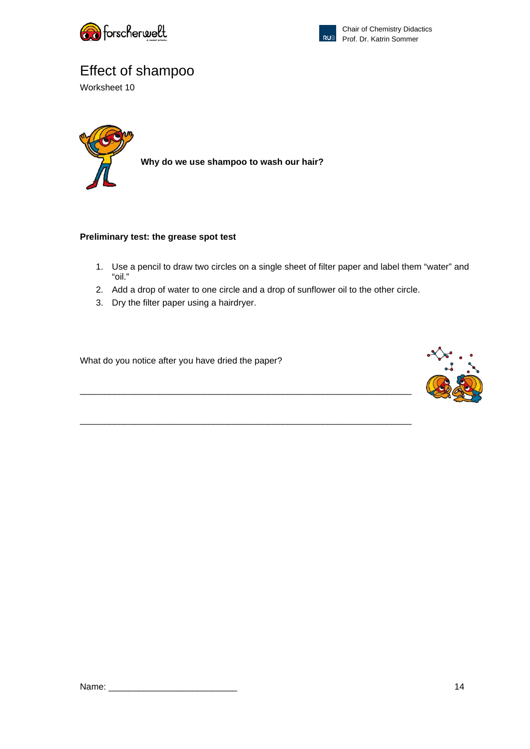



# Effect of shampoo

Worksheet 10



**Why do we use shampoo to wash our hair?**

### **Preliminary test: the grease spot test**

- 1. Use a pencil to draw two circles on a single sheet of filter paper and label them "water" and "oil."
- 2. Add a drop of water to one circle and a drop of sunflower oil to the other circle.

\_\_\_\_\_\_\_\_\_\_\_\_\_\_\_\_\_\_\_\_\_\_\_\_\_\_\_\_\_\_\_\_\_\_\_\_\_\_\_\_\_\_\_\_\_\_\_\_\_\_\_\_\_\_\_\_\_\_\_\_\_\_\_\_\_\_\_

\_\_\_\_\_\_\_\_\_\_\_\_\_\_\_\_\_\_\_\_\_\_\_\_\_\_\_\_\_\_\_\_\_\_\_\_\_\_\_\_\_\_\_\_\_\_\_\_\_\_\_\_\_\_\_\_\_\_\_\_\_\_\_\_\_\_\_

3. Dry the filter paper using a hairdryer.

What do you notice after you have dried the paper?

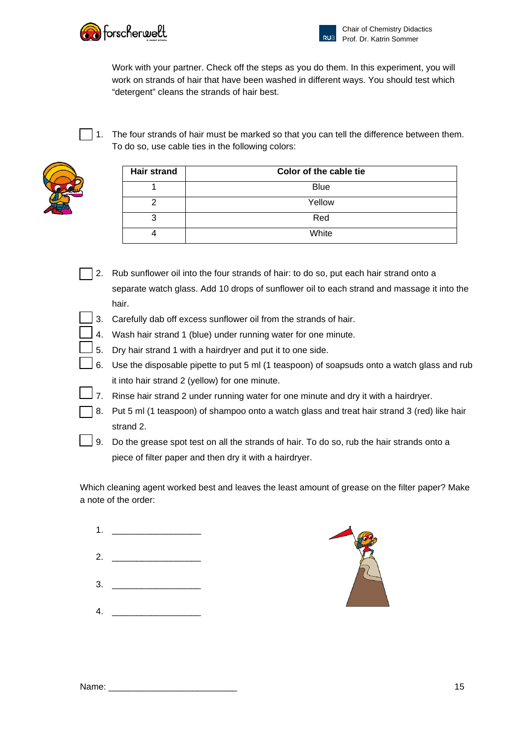

Work with your partner. Check off the steps as you do them. In this experiment, you will work on strands of hair that have been washed in different ways. You should test which "detergent" cleans the strands of hair best.

 $\vert$  1. The four strands of hair must be marked so that you can tell the difference between them. To do so, use cable ties in the following colors:



| <b>Hair strand</b> | Color of the cable tie |
|--------------------|------------------------|
|                    | <b>Blue</b>            |
| ⌒                  | Yellow                 |
| 3                  | Red                    |
|                    | White                  |

- $\overline{\phantom{a}}$  2. Rub sunflower oil into the four strands of hair: to do so, put each hair strand onto a separate watch glass. Add 10 drops of sunflower oil to each strand and massage it into the hair.
- 3. Carefully dab off excess sunflower oil from the strands of hair.
- $\perp$  4. Wash hair strand 1 (blue) under running water for one minute.
- $\perp$  5. Dry hair strand 1 with a hairdryer and put it to one side.
	- 6. Use the disposable pipette to put 5 ml (1 teaspoon) of soapsuds onto a watch glass and rub it into hair strand 2 (yellow) for one minute.
- 7. Rinse hair strand 2 under running water for one minute and dry it with a hairdryer.
- 8. Put 5 ml (1 teaspoon) of shampoo onto a watch glass and treat hair strand 3 (red) like hair strand 2.
- 9. Do the grease spot test on all the strands of hair. To do so, rub the hair strands onto a piece of filter paper and then dry it with a hairdryer.

Which cleaning agent worked best and leaves the least amount of grease on the filter paper? Make a note of the order:

- 1. \_\_\_\_\_\_\_\_\_\_\_\_\_\_\_\_\_\_ 2. \_\_\_\_\_\_\_\_\_\_\_\_\_\_\_\_\_\_  $3.$
- $4.$



| Name |  |
|------|--|
|------|--|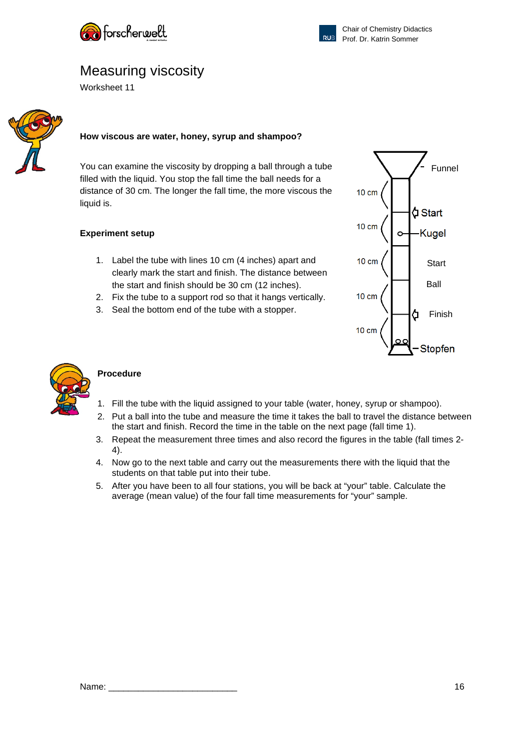



### Measuring viscosity

Worksheet 11



#### **How viscous are water, honey, syrup and shampoo?**

You can examine the viscosity by dropping a ball through a tube filled with the liquid. You stop the fall time the ball needs for a distance of 30 cm. The longer the fall time, the more viscous the liquid is.

#### **Experiment setup**

- 1. Label the tube with lines 10 cm (4 inches) apart and clearly mark the start and finish. The distance between the start and finish should be 30 cm (12 inches).
- 2. Fix the tube to a support rod so that it hangs vertically.
- 3. Seal the bottom end of the tube with a stopper.





### **Procedure**

- 1. Fill the tube with the liquid assigned to your table (water, honey, syrup or shampoo).
- 2. Put a ball into the tube and measure the time it takes the ball to travel the distance between the start and finish. Record the time in the table on the next page (fall time 1).
- 3. Repeat the measurement three times and also record the figures in the table (fall times 2- 4).
- 4. Now go to the next table and carry out the measurements there with the liquid that the students on that table put into their tube.
- 5. After you have been to all four stations, you will be back at "your" table. Calculate the average (mean value) of the four fall time measurements for "your" sample.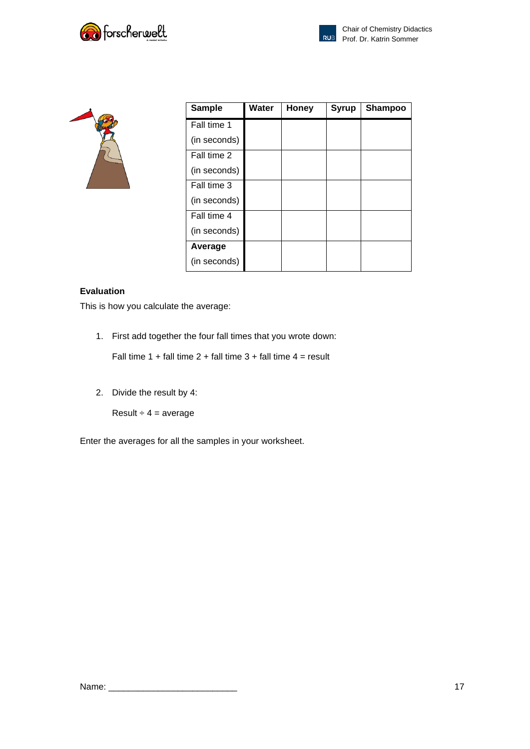

| <b>Sample</b> | Water | <b>Honey</b> | <b>Syrup</b> | <b>Shampoo</b> |
|---------------|-------|--------------|--------------|----------------|
| Fall time 1   |       |              |              |                |
| (in seconds)  |       |              |              |                |
| Fall time 2   |       |              |              |                |
| (in seconds)  |       |              |              |                |
| Fall time 3   |       |              |              |                |
| (in seconds)  |       |              |              |                |
| Fall time 4   |       |              |              |                |
| (in seconds)  |       |              |              |                |
| Average       |       |              |              |                |
| (in seconds)  |       |              |              |                |

### **Evaluation**

This is how you calculate the average:

1. First add together the four fall times that you wrote down:

Fall time 1 + fall time 2 + fall time 3 + fall time  $4 =$  result

2. Divide the result by 4:

Result  $\div$  4 = average

Enter the averages for all the samples in your worksheet.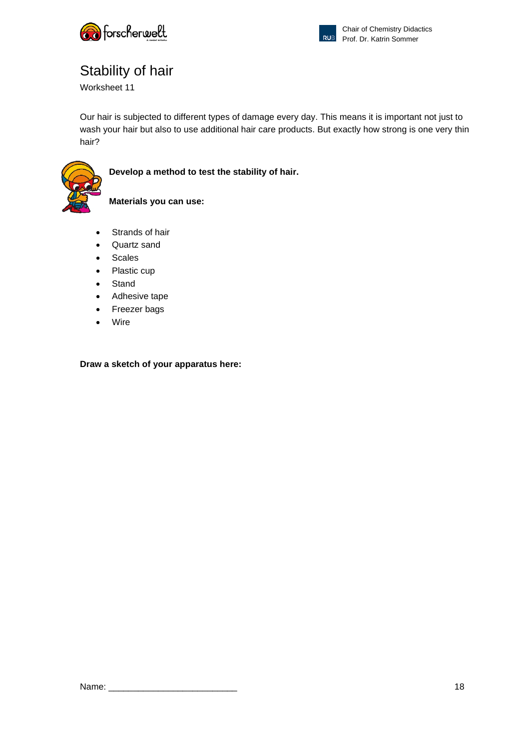



# Stability of hair

Worksheet 11

Our hair is subjected to different types of damage every day. This means it is important not just to wash your hair but also to use additional hair care products. But exactly how strong is one very thin hair?



**Develop a method to test the stability of hair.** 

### **Materials you can use:**

- Strands of hair
- Quartz sand
- Scales
- Plastic cup
- Stand
- Adhesive tape
- Freezer bags
- **Wire**

**Draw a sketch of your apparatus here:**